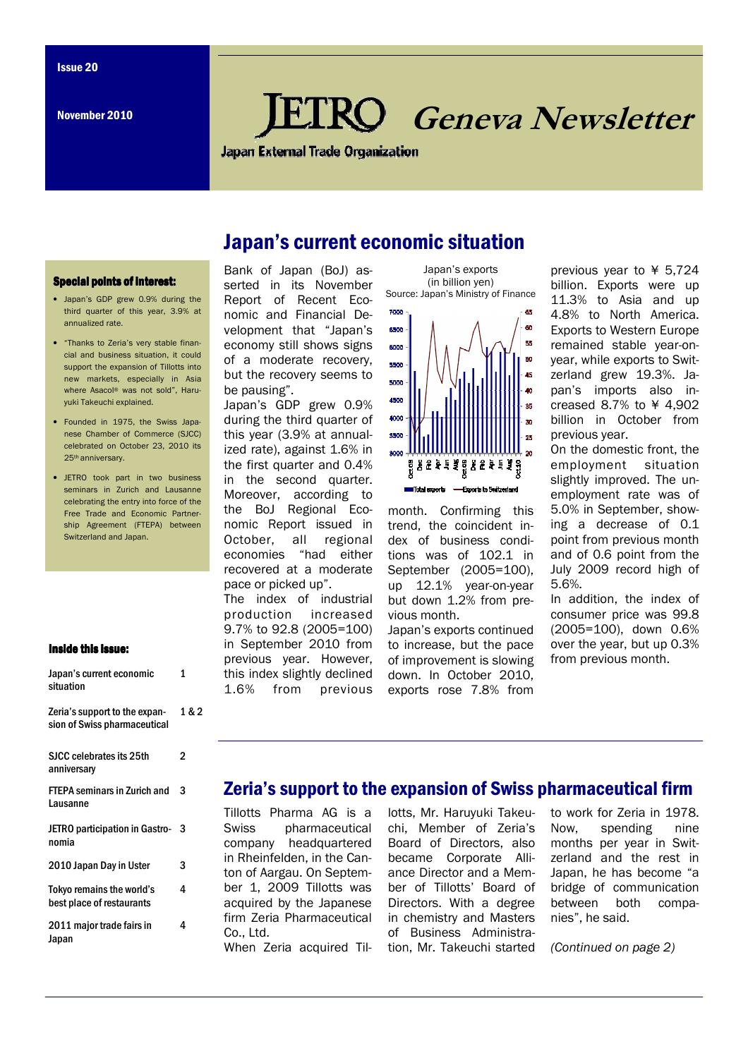# Geneva Newsletter

**Japan External Trade Organization** 

## Japan's current economic situation

#### **Special points of interest:**

- Japan's GDP grew 0.9% during the third quarter of this year, 3.9% at annualized rate.
- "Thanks to Zeria's very stable financial and business situation, it could support the expansion of Tillotts into new markets, especially in Asia where Asacol® was not sold", Haruyuki Takeuchi explained.
- Founded in 1975, the Swiss Japanese Chamber of Commerce (SJCC) celebrated on October 23, 2010 its 25th anniversary.
- JETRO took part in two business seminars in Zurich and Lausanne celebrating the entry into force of the Free Trade and Economic Partnership Agreement (FTEPA) between Switzerland and Japan.

#### Inside this issue:

Japan's current economic

1

| JAPAN J GANGIIL GUONOMIU<br>situation                         |       |
|---------------------------------------------------------------|-------|
| Zeria's support to the expan-<br>sion of Swiss pharmaceutical | 1 & 2 |
| SJCC celebrates its 25th<br>anniversary                       | 2     |
| <b>FTEPA seminars in Zurich and</b><br>Lausanne               | 3     |
| JETRO participation in Gastro-<br>nomia                       | 3     |
| 2010 Japan Day in Uster                                       | 3     |
| Tokyo remains the world's<br>best place of restaurants        | 4     |
| 2011 major trade fairs in<br>Japan                            | 4     |

Bank of Japan (BoJ) asserted in its November Report of Recent Economic and Financial Development that "Japan's economy still shows signs of a moderate recovery, but the recovery seems to be pausing".

Japan's GDP grew 0.9% during the third quarter of this year (3.9% at annualized rate), against 1.6% in the first quarter and 0.4% in the second quarter. Moreover, according to the BoJ Regional Economic Report issued in October, all regional economies "had either recovered at a moderate pace or picked up". The index of industrial

production increased 9.7% to 92.8 (2005=100) in September 2010 from previous year. However, this index slightly declined 1.6% from previous





month. Confirming this trend, the coincident index of business conditions was of 102.1 in September (2005=100), up 12.1% year-on-year but down 1.2% from previous month.

Japan's exports continued to increase, but the pace of improvement is slowing down. In October 2010, exports rose 7.8% from

previous year to ¥ 5,724 billion. Exports were up 11.3% to Asia and up 4.8% to North America. Exports to Western Europe remained stable year-onyear, while exports to Switzerland grew 19.3%. Japan's imports also increased 8.7% to ¥ 4,902 billion in October from previous year.

On the domestic front, the employment situation slightly improved. The unemployment rate was of 5.0% in September, showing a decrease of 0.1 point from previous month and of 0.6 point from the July 2009 record high of 5.6%.

In addition, the index of consumer price was 99.8 (2005=100), down 0.6% over the year, but up 0.3% from previous month.

### lotts, Mr. Haruyuki Takeu-Zeria's support to the expansion of Swiss pharmaceutical firm

chi, Member of Zeria's Board of Directors, also

Tillotts Pharma AG is a Swiss pharmaceutical company headquartered in Rheinfelden, in the Canton of Aargau. On September 1, 2009 Tillotts was acquired by the Japanese firm Zeria Pharmaceutical Co., Ltd.

When Zeria acquired Tilbecame Corporate Alliance Director and a Member of Tillotts' Board of Directors. With a degree in chemistry and Masters of Business Administration, Mr. Takeuchi started to work for Zeria in 1978. Now, spending nine months per year in Switzerland and the rest in Japan, he has become "a bridge of communication between both companies", he said.

(Continued on page 2)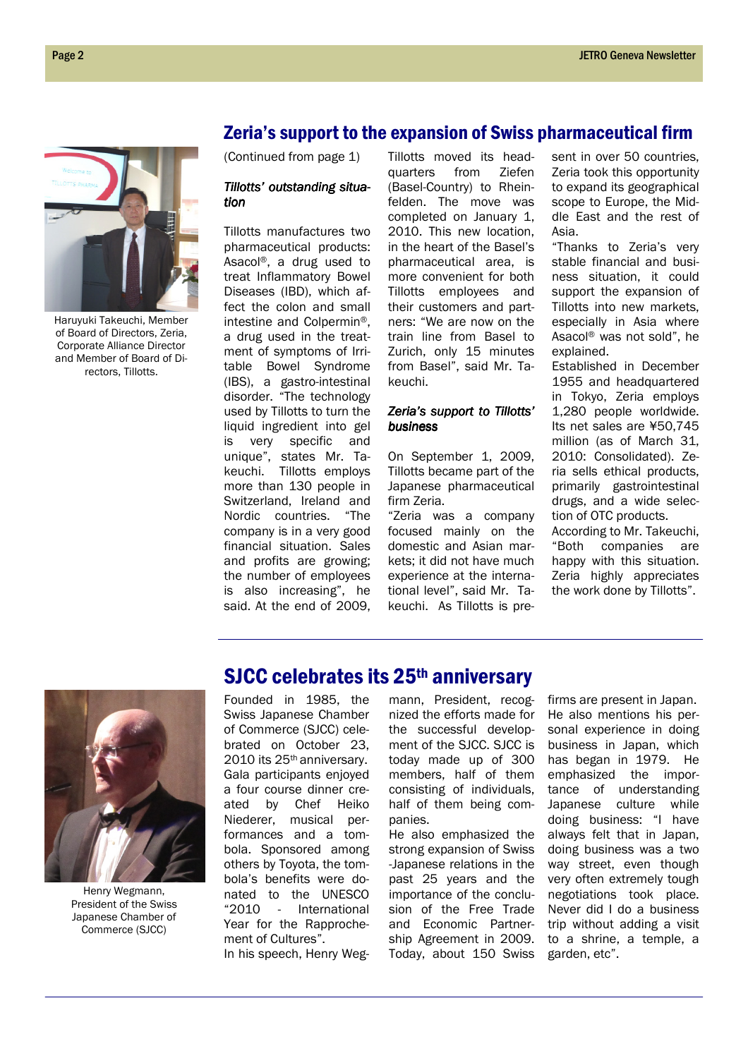#### Zeria's support to the expansion of Swiss pharmaceutical firm

(Continued from page 1)

#### Tillotts' outstanding situation

Tillotts manufactures two pharmaceutical products: Asacol®, a drug used to treat Inflammatory Bowel Diseases (IBD), which affect the colon and small intestine and Colpermin®, a drug used in the treatment of symptoms of Irritable Bowel Syndrome (IBS), a gastro-intestinal disorder. "The technology used by Tillotts to turn the liquid ingredient into gel is very specific and unique", states Mr. Takeuchi. Tillotts employs more than 130 people in Switzerland, Ireland and Nordic countries. "The company is in a very good financial situation. Sales and profits are growing; the number of employees is also increasing", he said. At the end of 2009,

Tillotts moved its headquarters from Ziefen (Basel-Country) to Rheinfelden. The move was completed on January 1, 2010. This new location, in the heart of the Basel's pharmaceutical area, is more convenient for both Tillotts employees and their customers and partners: "We are now on the train line from Basel to Zurich, only 15 minutes from Basel", said Mr. Takeuchi.

#### Zeria's support to Tillotts' business

On September 1, 2009, Tillotts became part of the Japanese pharmaceutical firm Zeria.

"Zeria was a company focused mainly on the domestic and Asian markets; it did not have much experience at the international level", said Mr. Takeuchi. As Tillotts is present in over 50 countries. Zeria took this opportunity to expand its geographical scope to Europe, the Middle East and the rest of Asia.

"Thanks to Zeria's very stable financial and business situation, it could support the expansion of Tillotts into new markets, especially in Asia where Asacol® was not sold", he explained.

Established in December 1955 and headquartered in Tokyo, Zeria employs 1,280 people worldwide. Its net sales are ¥50,745 million (as of March 31, 2010: Consolidated). Zeria sells ethical products, primarily gastrointestinal drugs, and a wide selection of OTC products.

According to Mr. Takeuchi, "Both companies are happy with this situation. Zeria highly appreciates the work done by Tillotts".



Haruyuki Takeuchi, Member of Board of Directors, Zeria, Corporate Alliance Director and Member of Board of Directors, Tillotts.

Henry Wegmann, President of the Swiss Japanese Chamber of Commerce (SJCC)

## SJCC celebrates its 25<sup>th</sup> anniversary

Founded in 1985, the Swiss Japanese Chamber of Commerce (SJCC) celebrated on October 23, 2010 its 25th anniversary. Gala participants enjoyed a four course dinner created by Chef Heiko Niederer, musical performances and a tombola. Sponsored among others by Toyota, the tombola's benefits were donated to the UNESCO "2010 - International Year for the Rapprochement of Cultures".

In his speech, Henry Weg-

mann, President, recognized the efforts made for the successful development of the SJCC. SJCC is today made up of 300 members, half of them consisting of individuals, half of them being companies.

He also emphasized the strong expansion of Swiss -Japanese relations in the past 25 years and the importance of the conclusion of the Free Trade and Economic Partnership Agreement in 2009. Today, about 150 Swiss

firms are present in Japan. He also mentions his personal experience in doing business in Japan, which has began in 1979. He emphasized the importance of understanding Japanese culture while doing business: "I have always felt that in Japan, doing business was a two way street, even though very often extremely tough negotiations took place. Never did I do a business trip without adding a visit to a shrine, a temple, a garden, etc".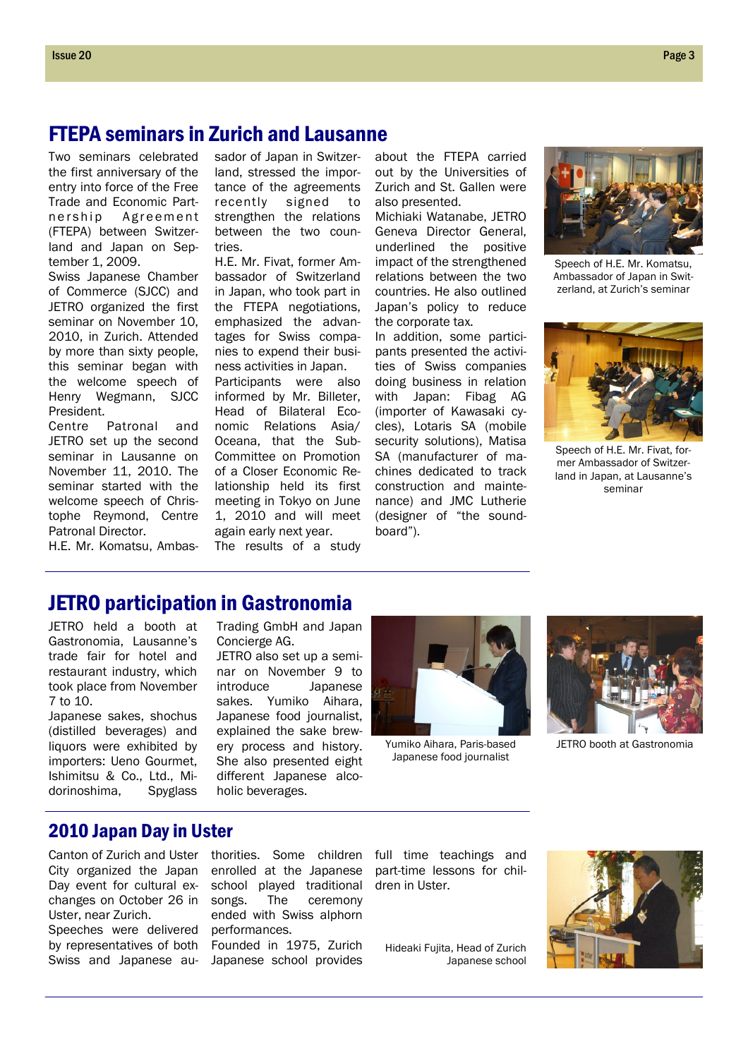## FTEPA seminars in Zurich and Lausanne

Two seminars celebrated the first anniversary of the entry into force of the Free Trade and Economic Partnership Agreement (FTEPA) between Switzerland and Japan on September 1, 2009.

Swiss Japanese Chamber of Commerce (SJCC) and JETRO organized the first seminar on November 10, 2010, in Zurich. Attended by more than sixty people, this seminar began with the welcome speech of Henry Wegmann, SJCC President.

Centre Patronal and JETRO set up the second seminar in Lausanne on November 11, 2010. The seminar started with the welcome speech of Christophe Reymond, Centre Patronal Director.

H.E. Mr. Komatsu, Ambas-

sador of Japan in Switzerland, stressed the importance of the agreements recently signed to strengthen the relations between the two countries.

H.E. Mr. Fivat, former Ambassador of Switzerland in Japan, who took part in the FTEPA negotiations, emphasized the advantages for Swiss companies to expend their business activities in Japan.

Participants were also informed by Mr. Billeter, Head of Bilateral Economic Relations Asia/ Oceana, that the Sub-Committee on Promotion of a Closer Economic Relationship held its first meeting in Tokyo on June 1, 2010 and will meet again early next year. The results of a study

about the FTEPA carried out by the Universities of Zurich and St. Gallen were also presented.

Michiaki Watanabe, JETRO Geneva Director General, underlined the positive impact of the strengthened relations between the two countries. He also outlined Japan's policy to reduce the corporate tax.

In addition, some participants presented the activities of Swiss companies doing business in relation with Japan: Fibag AG (importer of Kawasaki cycles), Lotaris SA (mobile security solutions), Matisa SA (manufacturer of machines dedicated to track construction and maintenance) and JMC Lutherie (designer of "the soundboard").



Speech of H.E. Mr. Komatsu, Ambassador of Japan in Switzerland, at Zurich's seminar



Speech of H.E. Mr. Fivat, former Ambassador of Switzerland in Japan, at Lausanne's seminar

## JETRO participation in Gastronomia

JETRO held a booth at Gastronomia, Lausanne's trade fair for hotel and restaurant industry, which took place from November 7 to 10.

Japanese sakes, shochus (distilled beverages) and liquors were exhibited by importers: Ueno Gourmet, Ishimitsu & Co., Ltd., Midorinoshima, Spyglass Trading GmbH and Japan Concierge AG.

JETRO also set up a seminar on November 9 to introduce Japanese sakes. Yumiko Aihara, Japanese food journalist, explained the sake brewery process and history. She also presented eight different Japanese alcoholic beverages.



Japanese food journalist



Yumiko Aihara, Paris-based JETRO booth at Gastronomia

#### 2010 Japan Day in Uster

Canton of Zurich and Uster City organized the Japan Day event for cultural exchanges on October 26 in Uster, near Zurich.

Speeches were delivered by representatives of both Swiss and Japanese au-

thorities. Some children enrolled at the Japanese school played traditional<br>songs. The ceremony The ceremony ended with Swiss alphorn performances.

Founded in 1975, Zurich Japanese school provides full time teachings and part-time lessons for children in Uster.

Hideaki Fujita, Head of Zurich Japanese school